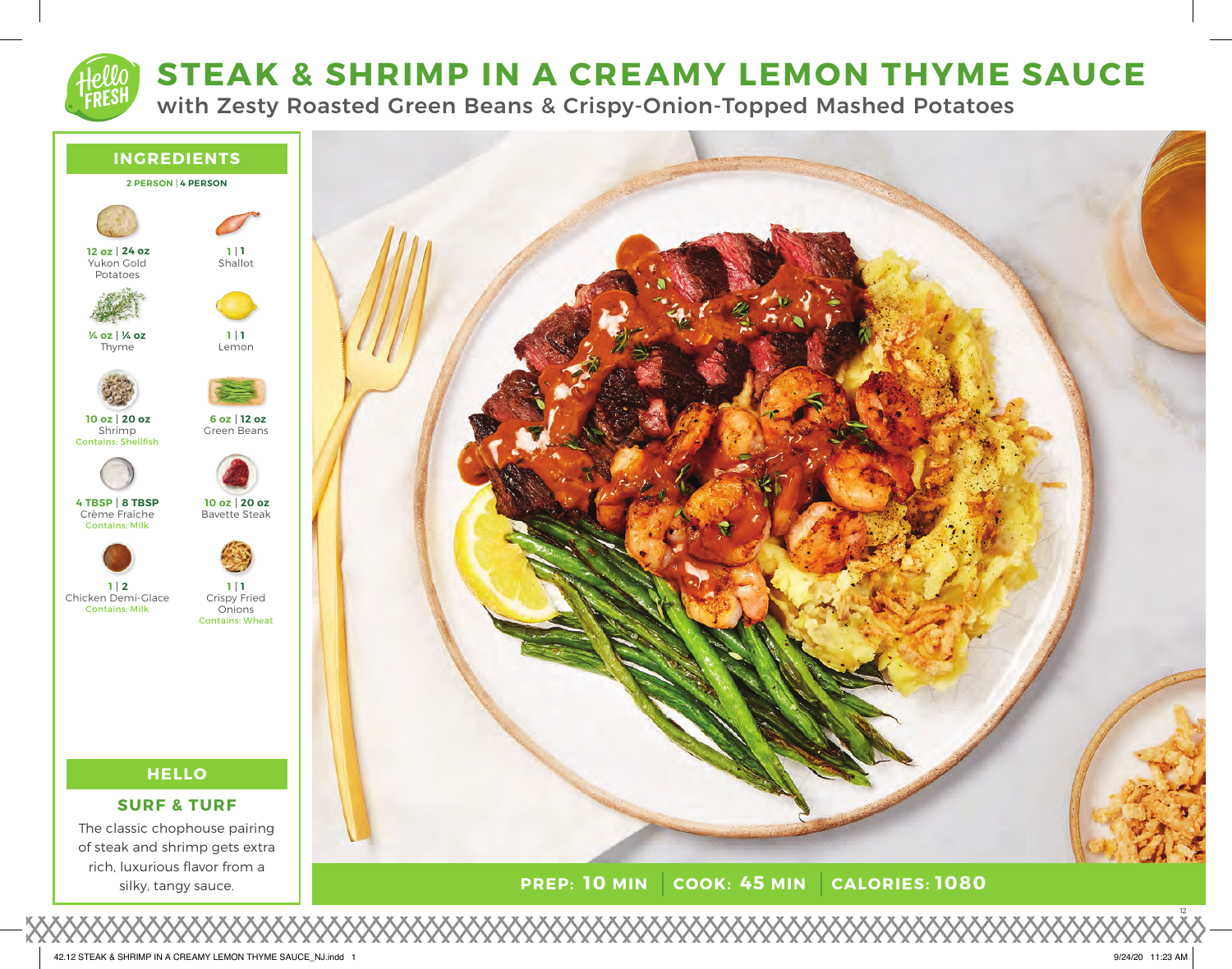# **STEAK & SHRIMP IN A CREAMY LEMON THYME SAUCE**

with Zesty Roasted Green Beans & Crispy-Onion-Topped Mashed Potatoes



42.12 STEAK & SHRIMP IN A CREAMY LEMON THYME SAUCE\_NJ.indd 1 9/24/20 11:23 AM

12